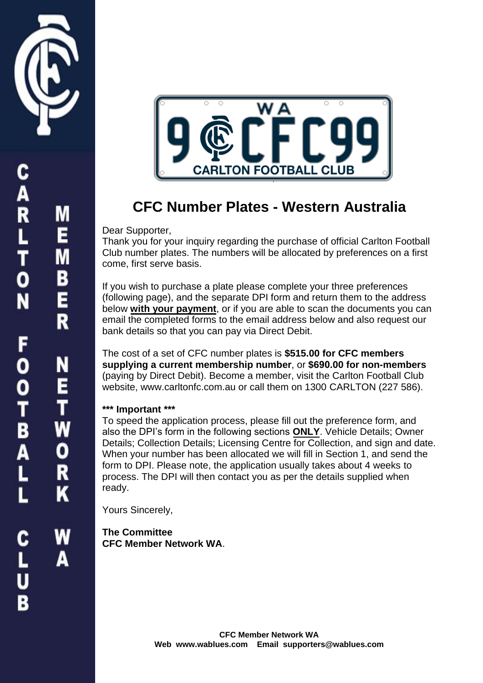

**ARLTON** 

FOOTBALL

Α





## **CFC Number Plates - Western Australia**

## Dear Supporter,

Thank you for your inquiry regarding the purchase of official Carlton Football Club number plates. The numbers will be allocated by preferences on a first come, first serve basis.

If you wish to purchase a plate please complete your three preferences (following page), and the separate DPI form and return them to the address below **with your payment**, or if you are able to scan the documents you can email the completed forms to the email address below and also request our bank details so that you can pay via Direct Debit.

The cost of a set of CFC number plates is **\$515.00 for CFC members supplying a current membership number**, or **\$690.00 for non-members**  (paying by Direct Debit). Become a member, visit the Carlton Football Club website, www.carltonfc.com.au or call them on 1300 CARLTON (227 586).

## **\*\*\* Important \*\*\***

To speed the application process, please fill out the preference form, and also the DPI's form in the following sections **ONLY**. Vehicle Details; Owner Details; Collection Details; Licensing Centre for Collection, and sign and date. When your number has been allocated we will fill in Section 1, and send the form to DPI. Please note, the application usually takes about 4 weeks to process. The DPI will then contact you as per the details supplied when ready.

Yours Sincerely,

**The Committee CFC Member Network WA**.